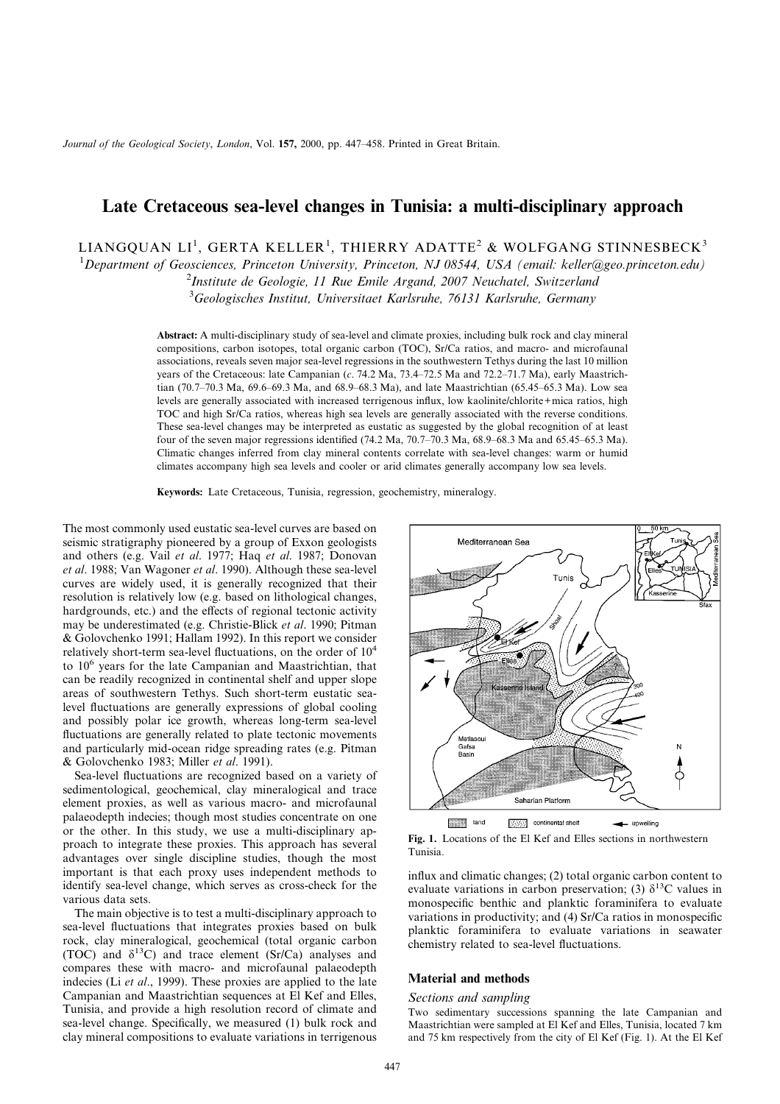*Journal of the Geological Society*, *London*, Vol. **157,** 2000, pp. 447–458. Printed in Great Britain.

# **Late Cretaceous sea-level changes in Tunisia: a multi-disciplinary approach**

LIANGQUAN LI<sup>1</sup>, GERTA KELLER<sup>1</sup>, THIERRY ADATTE<sup>2</sup> & WOLFGANG STINNESBECK<sup>3</sup>

1 *Department of Geosciences, Princeton University, Princeton, NJ 08544, USA (email: keller@geo.princeton.edu)*

2 *Institute de Geologie, 11 Rue Emile Argand, 2007 Neuchatel, Switzerland*

3 *Geologisches Institut, Universitaet Karlsruhe, 76131 Karlsruhe, Germany*

**Abstract:** A multi-disciplinary study of sea-level and climate proxies, including bulk rock and clay mineral compositions, carbon isotopes, total organic carbon (TOC), Sr/Ca ratios, and macro- and microfaunal associations, reveals seven major sea-level regressions in the southwestern Tethys during the last 10 million years of the Cretaceous: late Campanian (*c*. 74.2 Ma, 73.4–72.5 Ma and 72.2–71.7 Ma), early Maastrichtian (70.7–70.3 Ma, 69.6–69.3 Ma, and 68.9–68.3 Ma), and late Maastrichtian (65.45–65.3 Ma). Low sea levels are generally associated with increased terrigenous influx, low kaolinite/chlorite+mica ratios, high TOC and high Sr/Ca ratios, whereas high sea levels are generally associated with the reverse conditions. These sea-level changes may be interpreted as eustatic as suggested by the global recognition of at least four of the seven major regressions identified (74.2 Ma, 70.7–70.3 Ma, 68.9–68.3 Ma and 65.45–65.3 Ma). Climatic changes inferred from clay mineral contents correlate with sea-level changes: warm or humid climates accompany high sea levels and cooler or arid climates generally accompany low sea levels.

**Keywords:** Late Cretaceous, Tunisia, regression, geochemistry, mineralogy.

The most commonly used eustatic sea-level curves are based on seismic stratigraphy pioneered by a group of Exxon geologists and others (e.g. Vail *et al*. 1977; Haq *et al*. 1987; Donovan *et al*. 1988; Van Wagoner *et al*. 1990). Although these sea-level curves are widely used, it is generally recognized that their resolution is relatively low (e.g. based on lithological changes, hardgrounds, etc.) and the effects of regional tectonic activity may be underestimated (e.g. Christie-Blick *et al*. 1990; Pitman & Golovchenko 1991; Hallam 1992). In this report we consider relatively short-term sea-level fluctuations, on the order of 10<sup>4</sup> to 10<sup>6</sup> years for the late Campanian and Maastrichtian, that can be readily recognized in continental shelf and upper slope areas of southwestern Tethys. Such short-term eustatic sealevel fluctuations are generally expressions of global cooling and possibly polar ice growth, whereas long-term sea-level fluctuations are generally related to plate tectonic movements and particularly mid-ocean ridge spreading rates (e.g. Pitman & Golovchenko 1983; Miller *et al*. 1991).

Sea-level fluctuations are recognized based on a variety of sedimentological, geochemical, clay mineralogical and trace element proxies, as well as various macro- and microfaunal palaeodepth indecies; though most studies concentrate on one or the other. In this study, we use a multi-disciplinary approach to integrate these proxies. This approach has several advantages over single discipline studies, though the most important is that each proxy uses independent methods to identify sea-level change, which serves as cross-check for the various data sets.

The main objective is to test a multi-disciplinary approach to sea-level fluctuations that integrates proxies based on bulk rock, clay mineralogical, geochemical (total organic carbon (TOC) and  $\delta^{13}$ C) and trace element (Sr/Ca) analyses and compares these with macro- and microfaunal palaeodepth indecies (Li *et al*., 1999). These proxies are applied to the late Campanian and Maastrichtian sequences at El Kef and Elles, Tunisia, and provide a high resolution record of climate and sea-level change. Specifically, we measured (1) bulk rock and clay mineral compositions to evaluate variations in terrigenous



**Fig. 1.** Locations of the El Kef and Elles sections in northwestern Tunisia.

influx and climatic changes; (2) total organic carbon content to evaluate variations in carbon preservation; (3)  $\delta^{13}$ C values in monospecific benthic and planktic foraminifera to evaluate variations in productivity; and (4) Sr/Ca ratios in monospecific planktic foraminifera to evaluate variations in seawater chemistry related to sea-level fluctuations.

#### **Material and methods**

## *Sections and sampling*

Two sedimentary successions spanning the late Campanian and Maastrichtian were sampled at El Kef and Elles, Tunisia, located 7 km and 75 km respectively from the city of El Kef (Fig. 1). At the El Kef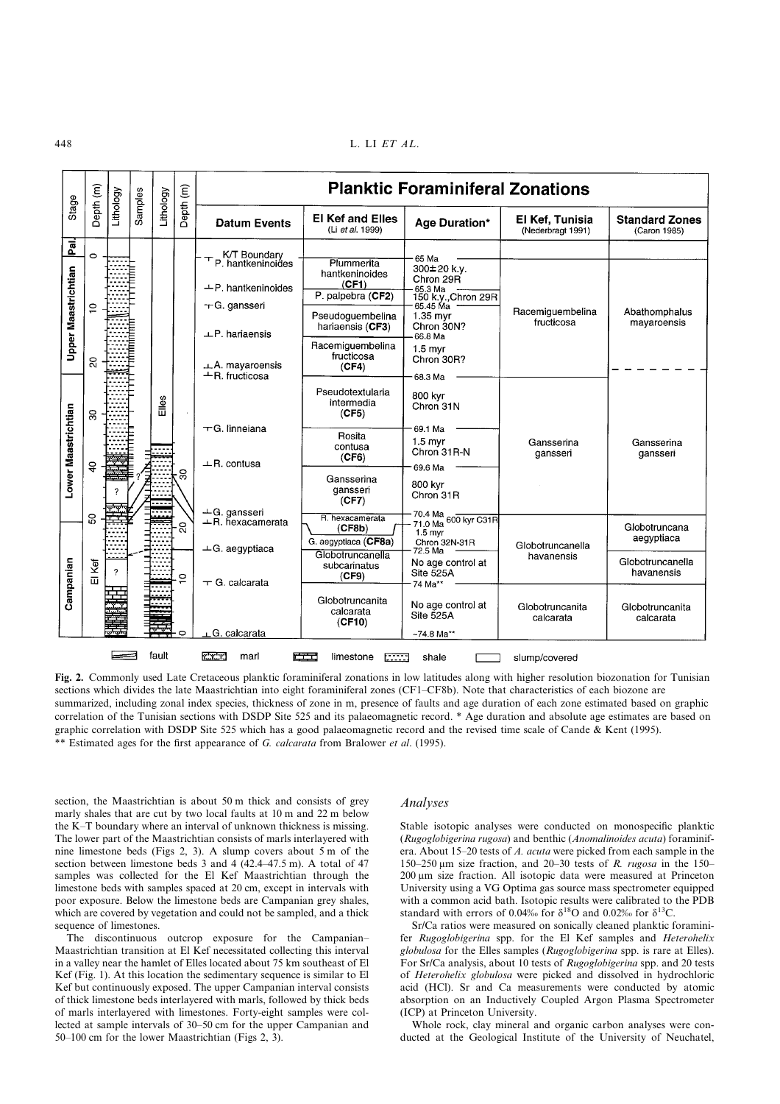448 L. LI *ET AL*.

|                                    |                                      | Lithology | Samples | Lithology | Depth (m)    | <b>Planktic Foraminiferal Zonations</b>                                                                                                                |                                                                                                                                               |                                                                                                                                       |                                      |                                                               |  |
|------------------------------------|--------------------------------------|-----------|---------|-----------|--------------|--------------------------------------------------------------------------------------------------------------------------------------------------------|-----------------------------------------------------------------------------------------------------------------------------------------------|---------------------------------------------------------------------------------------------------------------------------------------|--------------------------------------|---------------------------------------------------------------|--|
| Stage                              | Depth (m)                            |           |         |           |              | <b>Datum Events</b>                                                                                                                                    | <b>El Kef and Elles</b><br>(Li et al. 1999)                                                                                                   | Age Duration*                                                                                                                         | El Kef, Tunisia<br>(Nederbragt 1991) | <b>Standard Zones</b><br>(Caron 1985)                         |  |
| Pai.<br><b>Upper Maastrichtian</b> | $\circ$<br>$\frac{1}{2}$<br>$\Omega$ |           |         |           |              | K/T Boundary<br>P. hantkeninoides<br>$+P$ . hantkeninoides<br>$\pm$ G. gansseri<br>$\perp$ P. hariaensis<br>$\perp$ A. mayaroensis<br>$-R.$ fructicosa | Plummerita<br>hantkeninoides<br>(CF1)<br>P. palpebra (CF2)<br>Pseudoguembelina<br>hariaensis (CF3)<br>Racemiguembelina<br>fructicosa<br>(CF4) | 65 Ma<br>300±20 k.y.<br>Chron 29R<br>65.3 Ma<br>150 k.y., Chron 29R<br>$1.35$ myr<br>Chron 30N?<br>66.8 Ma<br>$1.5$ myr<br>Chron 30R? | Racemiguembelina<br>fructicosa       | Abathomphalus<br>mayaroensis                                  |  |
| Lower Maastrichtian                | $\mathbf{S}$<br>$\overline{a}$       |           |         | Elles     | ౢ            | $\overline{-}$ G. linneiana<br>$\perp$ R. contusa<br>$\pm$ G. gansseri                                                                                 | Pseudotextularia<br>intermedia<br>(CF5)<br>Rosita<br>contusa<br>(CF6)<br>Gansserina<br>gansseri<br>(CF7)                                      | 68.3 Ma<br>800 kvr<br>Chron 31N<br>69.1 Ma<br>$1.5$ myr<br>Chron 31R-N<br>69.6 Ma<br>800 kvr<br>Chron 31R                             | Gansserina<br>gansseri               | Gansserina<br>gansseri                                        |  |
| Campanian                          | ន<br>Kei<br>$\overline{\mathbf{u}}$  |           |         |           | ຊ<br>$\circ$ | $+$ R. hexacamerata<br>$\perp$ G. aegyptiaca<br>$\pm$ G. calcarata                                                                                     | R. hexacamerata<br>(CF8b)<br>G. aegyptiaca (CF8a)<br>Globotruncanella<br>subcarinatus<br>(CF9)                                                | 70.4 Ma 600 kyr C31R<br>$1.5$ myr<br>Chron 32N-31R<br>72.5 Ma<br>No age control at<br>Site 525A<br>74 Ma**                            | Globotruncanella<br>havanensis       | Globotruncana<br>aegyptiaca<br>Globotruncanella<br>havanensis |  |
|                                    |                                      |           |         |           | o            | G. calcarata                                                                                                                                           | Globotruncanita<br>calcarata<br>(CF10)                                                                                                        | No age control at<br>Site 525A<br>$~124.8$ Ma**                                                                                       | Globotruncanita<br>calcarata         | Globotruncanita<br>calcarata                                  |  |

**Fig. 2.** Commonly used Late Cretaceous planktic foraminiferal zonations in low latitudes along with higher resolution biozonation for Tunisian sections which divides the late Maastrichtian into eight foraminiferal zones (CF1–CF8b). Note that characteristics of each biozone are summarized, including zonal index species, thickness of zone in m, presence of faults and age duration of each zone estimated based on graphic correlation of the Tunisian sections with DSDP Site 525 and its palaeomagnetic record. \* Age duration and absolute age estimates are based on graphic correlation with DSDP Site 525 which has a good palaeomagnetic record and the revised time scale of Cande & Kent (1995). \*\* Estimated ages for the first appearance of *G. calcarata* from Bralower *et al*. (1995).

section, the Maastrichtian is about 50 m thick and consists of grey marly shales that are cut by two local faults at 10 m and 22 m below the K–T boundary where an interval of unknown thickness is missing. The lower part of the Maastrichtian consists of marls interlayered with nine limestone beds (Figs 2, 3). A slump covers about 5 m of the section between limestone beds 3 and 4 (42.4–47.5 m). A total of 47 samples was collected for the El Kef Maastrichtian through the limestone beds with samples spaced at 20 cm, except in intervals with poor exposure. Below the limestone beds are Campanian grey shales, which are covered by vegetation and could not be sampled, and a thick sequence of limestones.

The discontinuous outcrop exposure for the Campanian– Maastrichtian transition at El Kef necessitated collecting this interval in a valley near the hamlet of Elles located about 75 km southeast of El Kef (Fig. 1). At this location the sedimentary sequence is similar to El Kef but continuously exposed. The upper Campanian interval consists of thick limestone beds interlayered with marls, followed by thick beds of marls interlayered with limestones. Forty-eight samples were collected at sample intervals of 30–50 cm for the upper Campanian and 50–100 cm for the lower Maastrichtian (Figs 2, 3).

## *Analyses*

Stable isotopic analyses were conducted on monospecific planktic (*Rugoglobigerina rugosa*) and benthic (*Anomalinoides acuta*) foraminifera. About 15–20 tests of *A. acuta* were picked from each sample in the  $150-250 \mu m$  size fraction, and  $20-30$  tests of *R. rugosa* in the 150– 200 µm size fraction. All isotopic data were measured at Princeton University using a VG Optima gas source mass spectrometer equipped with a common acid bath. Isotopic results were calibrated to the PDB standard with errors of 0.04‰ for  $\delta^{18}$ O and 0.02‰ for  $\delta^{13}$ C.

Sr/Ca ratios were measured on sonically cleaned planktic foraminifer *Rugoglobigerina* spp. for the El Kef samples and *Heterohelix globulosa* for the Elles samples (*Rugoglobigerina* spp. is rare at Elles). For Sr/Ca analysis, about 10 tests of *Rugoglobigerina* spp. and 20 tests of *Heterohelix globulosa* were picked and dissolved in hydrochloric acid (HCl). Sr and Ca measurements were conducted by atomic absorption on an Inductively Coupled Argon Plasma Spectrometer (ICP) at Princeton University.

Whole rock, clay mineral and organic carbon analyses were conducted at the Geological Institute of the University of Neuchatel,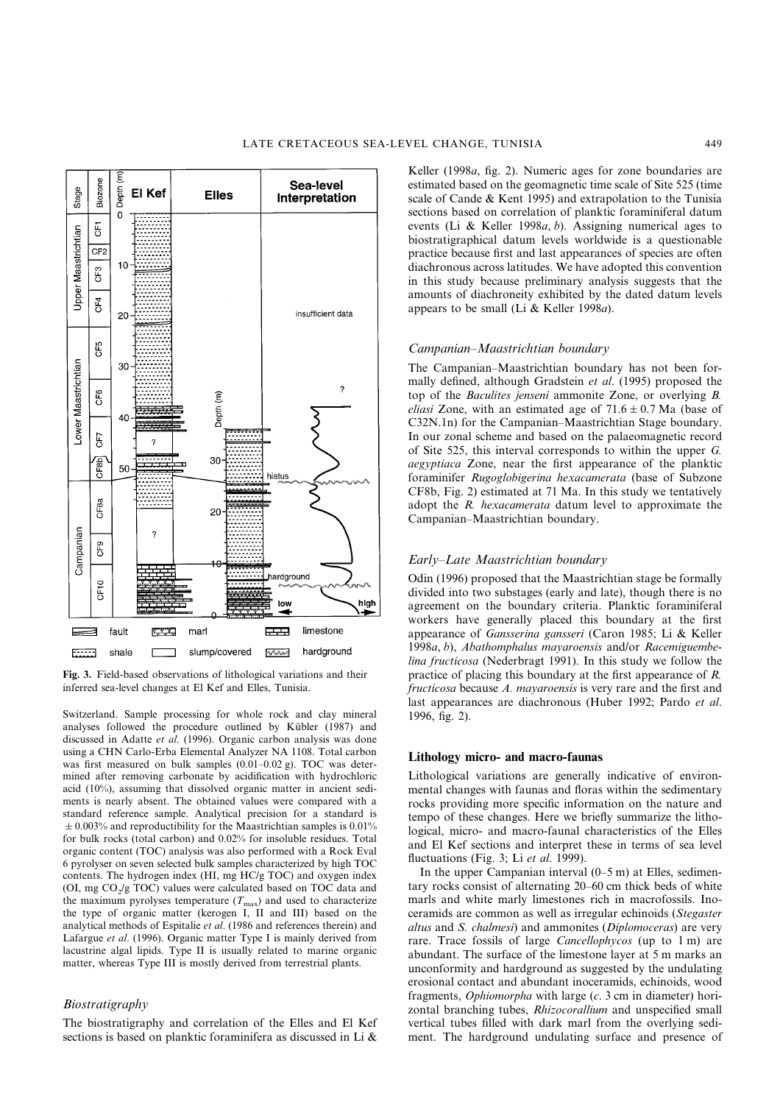

**Fig. 3.** Field-based observations of lithological variations and their inferred sea-level changes at El Kef and Elles, Tunisia.

Switzerland. Sample processing for whole rock and clay mineral analyses followed the procedure outlined by Kübler (1987) and discussed in Adatte *et al*. (1996). Organic carbon analysis was done using a CHN Carlo-Erba Elemental Analyzer NA 1108. Total carbon was first measured on bulk samples (0.01–0.02 g). TOC was determined after removing carbonate by acidification with hydrochloric acid (10%), assuming that dissolved organic matter in ancient sediments is nearly absent. The obtained values were compared with a standard reference sample. Analytical precision for a standard is  $\pm$  0.003% and reproductibility for the Maastrichtian samples is 0.01% for bulk rocks (total carbon) and 0.02% for insoluble residues. Total organic content (TOC) analysis was also performed with a Rock Eval 6 pyrolyser on seven selected bulk samples characterized by high TOC contents. The hydrogen index (HI, mg HC/g TOC) and oxygen index (OI, mg  $CO<sub>2</sub>/g$  TOC) values were calculated based on TOC data and the maximum pyrolyses temperature  $(T_{\text{max}})$  and used to characterize the type of organic matter (kerogen I, II and III) based on the analytical methods of Espitalie *et al*. (1986 and references therein) and Lafargue *et al*. (1996). Organic matter Type I is mainly derived from lacustrine algal lipids. Type II is usually related to marine organic matter, whereas Type III is mostly derived from terrestrial plants.

# *Biostratigraphy*

The biostratigraphy and correlation of the Elles and El Kef sections is based on planktic foraminifera as discussed in Li &

Keller (1998*a*, fig. 2). Numeric ages for zone boundaries are estimated based on the geomagnetic time scale of Site 525 (time scale of Cande & Kent 1995) and extrapolation to the Tunisia sections based on correlation of planktic foraminiferal datum events (Li & Keller 1998*a*, *b*). Assigning numerical ages to biostratigraphical datum levels worldwide is a questionable practice because first and last appearances of species are often diachronous across latitudes. We have adopted this convention in this study because preliminary analysis suggests that the amounts of diachroneity exhibited by the dated datum levels appears to be small (Li & Keller 1998*a*).

#### *Campanian–Maastrichtian boundary*

The Campanian–Maastrichtian boundary has not been formally defined, although Gradstein *et al*. (1995) proposed the top of the *Baculites jenseni* ammonite Zone, or overlying *B. eliasi* Zone, with an estimated age of  $71.6 \pm 0.7$  Ma (base of C32N.1n) for the Campanian–Maastrichtian Stage boundary. In our zonal scheme and based on the palaeomagnetic record of Site 525, this interval corresponds to within the upper *G. aegyptiaca* Zone, near the first appearance of the planktic foraminifer *Rugoglobigerina hexacamerata* (base of Subzone CF8b, Fig. 2) estimated at 71 Ma. In this study we tentatively adopt the *R. hexacamerata* datum level to approximate the Campanian–Maastrichtian boundary.

## *Early–Late Maastrichtian boundary*

Odin (1996) proposed that the Maastrichtian stage be formally divided into two substages (early and late), though there is no agreement on the boundary criteria. Planktic foraminiferal workers have generally placed this boundary at the first appearance of *Gansserina gansseri* (Caron 1985; Li & Keller 1998*a*, *b*), *Abathomphalus mayaroensis* and/or *Racemiguembelina fructicosa* (Nederbragt 1991). In this study we follow the practice of placing this boundary at the first appearance of *R. fructicosa* because *A. mayaroensis* is very rare and the first and last appearances are diachronous (Huber 1992; Pardo *et al*. 1996, fig. 2).

## **Lithology micro- and macro-faunas**

Lithological variations are generally indicative of environmental changes with faunas and floras within the sedimentary rocks providing more specific information on the nature and tempo of these changes. Here we briefly summarize the lithological, micro- and macro-faunal characteristics of the Elles and El Kef sections and interpret these in terms of sea level fluctuations (Fig. 3; Li *et al*. 1999).

In the upper Campanian interval  $(0-5 \text{ m})$  at Elles, sedimentary rocks consist of alternating 20–60 cm thick beds of white marls and white marly limestones rich in macrofossils. Inoceramids are common as well as irregular echinoids (*Stegaster altus* and *S. chalmesi*) and ammonites (*Diplomoceras*) are very rare. Trace fossils of large *Cancellophycos* (up to 1 m) are abundant. The surface of the limestone layer at 5 m marks an unconformity and hardground as suggested by the undulating erosional contact and abundant inoceramids, echinoids, wood fragments, *Ophiomorpha* with large (*c*. 3 cm in diameter) horizontal branching tubes, *Rhizocorallium* and unspecified small vertical tubes filled with dark marl from the overlying sediment. The hardground undulating surface and presence of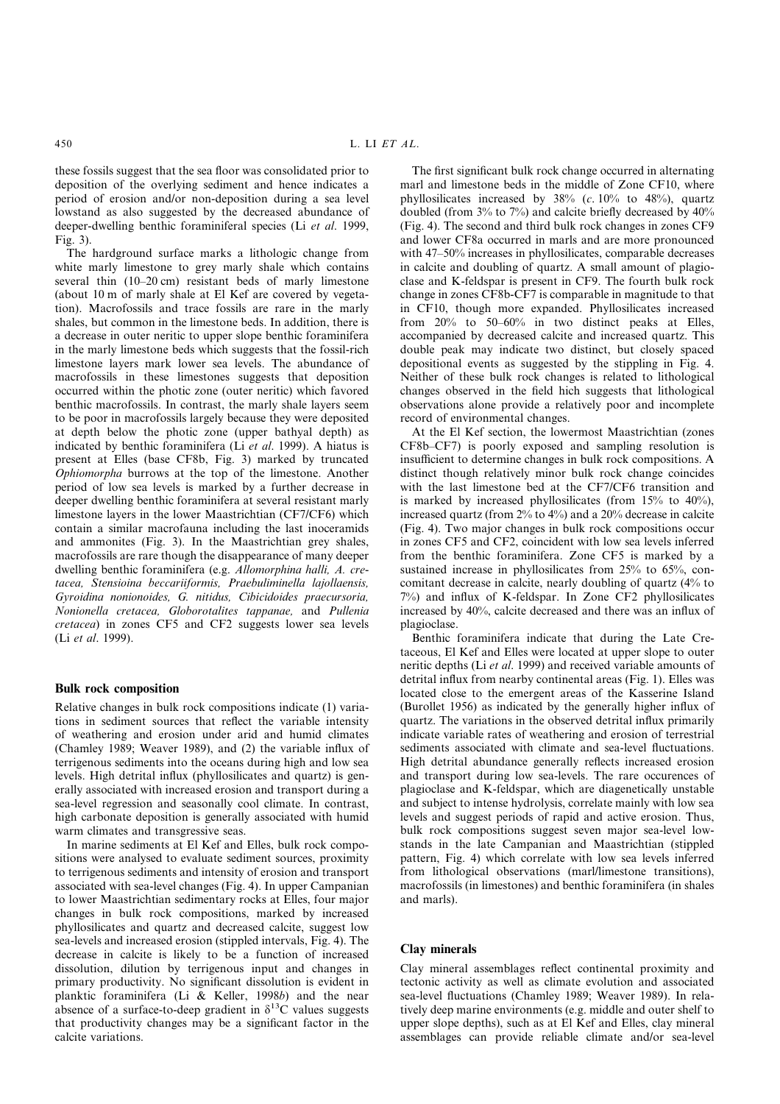these fossils suggest that the sea floor was consolidated prior to deposition of the overlying sediment and hence indicates a period of erosion and/or non-deposition during a sea level lowstand as also suggested by the decreased abundance of deeper-dwelling benthic foraminiferal species (Li *et al*. 1999,  $Fig 3)$ 

The hardground surface marks a lithologic change from white marly limestone to grey marly shale which contains several thin (10–20 cm) resistant beds of marly limestone (about 10 m of marly shale at El Kef are covered by vegetation). Macrofossils and trace fossils are rare in the marly shales, but common in the limestone beds. In addition, there is a decrease in outer neritic to upper slope benthic foraminifera in the marly limestone beds which suggests that the fossil-rich limestone layers mark lower sea levels. The abundance of macrofossils in these limestones suggests that deposition occurred within the photic zone (outer neritic) which favored benthic macrofossils. In contrast, the marly shale layers seem to be poor in macrofossils largely because they were deposited at depth below the photic zone (upper bathyal depth) as indicated by benthic foraminifera (Li *et al*. 1999). A hiatus is present at Elles (base CF8b, Fig. 3) marked by truncated *Ophiomorpha* burrows at the top of the limestone. Another period of low sea levels is marked by a further decrease in deeper dwelling benthic foraminifera at several resistant marly limestone layers in the lower Maastrichtian (CF7/CF6) which contain a similar macrofauna including the last inoceramids and ammonites (Fig. 3). In the Maastrichtian grey shales, macrofossils are rare though the disappearance of many deeper dwelling benthic foraminifera (e.g. *Allomorphina halli, A. cretacea, Stensioina beccariiformis, Praebuliminella lajollaensis, Gyroidina nonionoides, G. nitidus, Cibicidoides praecursoria, Nonionella cretacea, Globorotalites tappanae,* and *Pullenia cretacea*) in zones CF5 and CF2 suggests lower sea levels (Li *et al*. 1999).

#### **Bulk rock composition**

Relative changes in bulk rock compositions indicate (1) variations in sediment sources that reflect the variable intensity of weathering and erosion under arid and humid climates (Chamley 1989; Weaver 1989), and (2) the variable influx of terrigenous sediments into the oceans during high and low sea levels. High detrital influx (phyllosilicates and quartz) is generally associated with increased erosion and transport during a sea-level regression and seasonally cool climate. In contrast, high carbonate deposition is generally associated with humid warm climates and transgressive seas.

In marine sediments at El Kef and Elles, bulk rock compositions were analysed to evaluate sediment sources, proximity to terrigenous sediments and intensity of erosion and transport associated with sea-level changes (Fig. 4). In upper Campanian to lower Maastrichtian sedimentary rocks at Elles, four major changes in bulk rock compositions, marked by increased phyllosilicates and quartz and decreased calcite, suggest low sea-levels and increased erosion (stippled intervals, Fig. 4). The decrease in calcite is likely to be a function of increased dissolution, dilution by terrigenous input and changes in primary productivity. No significant dissolution is evident in planktic foraminifera (Li & Keller, 1998*b*) and the near absence of a surface-to-deep gradient in  $\delta^{13}$ C values suggests that productivity changes may be a significant factor in the calcite variations.

The first significant bulk rock change occurred in alternating marl and limestone beds in the middle of Zone CF10, where phyllosilicates increased by 38% (*c*. 10% to 48%), quartz doubled (from 3% to 7%) and calcite briefly decreased by 40% (Fig. 4). The second and third bulk rock changes in zones CF9 and lower CF8a occurred in marls and are more pronounced with 47–50% increases in phyllosilicates, comparable decreases in calcite and doubling of quartz. A small amount of plagioclase and K-feldspar is present in CF9. The fourth bulk rock change in zones CF8b-CF7 is comparable in magnitude to that in CF10, though more expanded. Phyllosilicates increased from 20% to 50–60% in two distinct peaks at Elles, accompanied by decreased calcite and increased quartz. This double peak may indicate two distinct, but closely spaced depositional events as suggested by the stippling in Fig. 4. Neither of these bulk rock changes is related to lithological changes observed in the field hich suggests that lithological observations alone provide a relatively poor and incomplete record of environmental changes.

At the El Kef section, the lowermost Maastrichtian (zones CF8b–CF7) is poorly exposed and sampling resolution is insufficient to determine changes in bulk rock compositions. A distinct though relatively minor bulk rock change coincides with the last limestone bed at the CF7/CF6 transition and is marked by increased phyllosilicates (from  $15\%$  to  $40\%$ ), increased quartz (from 2% to 4%) and a 20% decrease in calcite (Fig. 4). Two major changes in bulk rock compositions occur in zones CF5 and CF2, coincident with low sea levels inferred from the benthic foraminifera. Zone CF5 is marked by a sustained increase in phyllosilicates from 25% to 65%, concomitant decrease in calcite, nearly doubling of quartz (4% to 7%) and influx of K-feldspar. In Zone CF2 phyllosilicates increased by 40%, calcite decreased and there was an influx of plagioclase.

Benthic foraminifera indicate that during the Late Cretaceous, El Kef and Elles were located at upper slope to outer neritic depths (Li *et al*. 1999) and received variable amounts of detrital influx from nearby continental areas (Fig. 1). Elles was located close to the emergent areas of the Kasserine Island (Burollet 1956) as indicated by the generally higher influx of quartz. The variations in the observed detrital influx primarily indicate variable rates of weathering and erosion of terrestrial sediments associated with climate and sea-level fluctuations. High detrital abundance generally reflects increased erosion and transport during low sea-levels. The rare occurences of plagioclase and K-feldspar, which are diagenetically unstable and subject to intense hydrolysis, correlate mainly with low sea levels and suggest periods of rapid and active erosion. Thus, bulk rock compositions suggest seven major sea-level lowstands in the late Campanian and Maastrichtian (stippled pattern, Fig. 4) which correlate with low sea levels inferred from lithological observations (marl/limestone transitions), macrofossils (in limestones) and benthic foraminifera (in shales and marls).

#### **Clay minerals**

Clay mineral assemblages reflect continental proximity and tectonic activity as well as climate evolution and associated sea-level fluctuations (Chamley 1989; Weaver 1989). In relatively deep marine environments (e.g. middle and outer shelf to upper slope depths), such as at El Kef and Elles, clay mineral assemblages can provide reliable climate and/or sea-level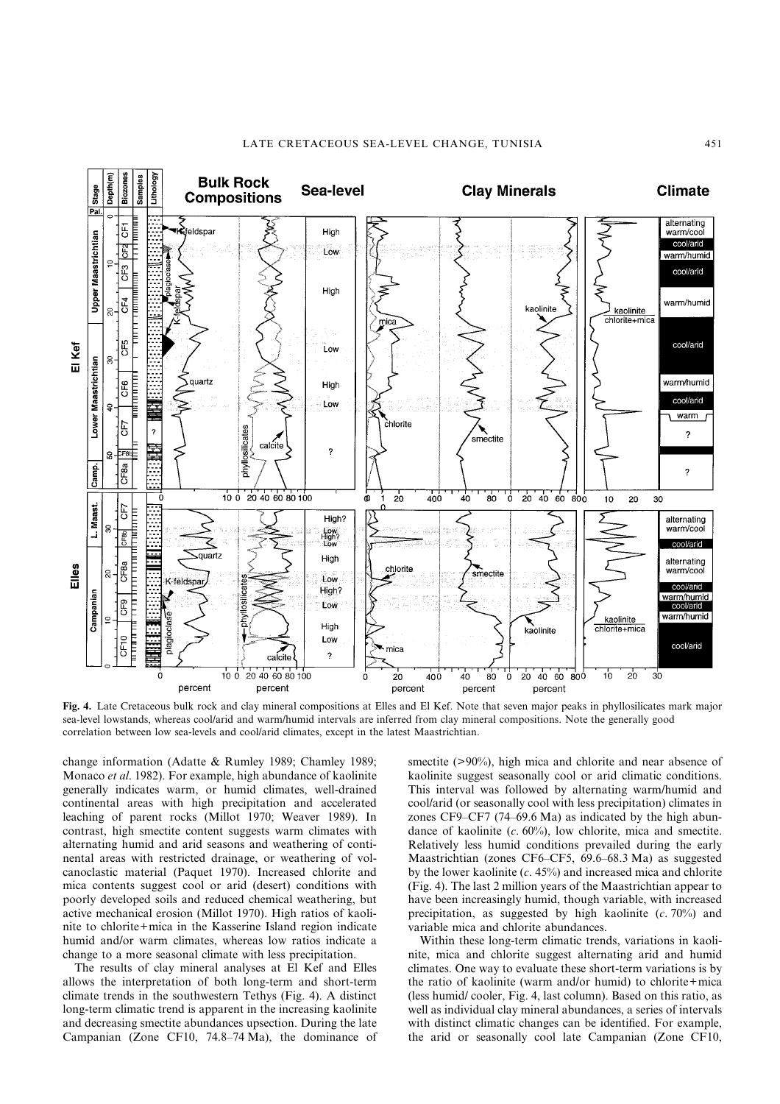

**Fig. 4.** Late Cretaceous bulk rock and clay mineral compositions at Elles and El Kef. Note that seven major peaks in phyllosilicates mark major sea-level lowstands, whereas cool/arid and warm/humid intervals are inferred from clay mineral compositions. Note the generally good correlation between low sea-levels and cool/arid climates, except in the latest Maastrichtian.

change information (Adatte & Rumley 1989; Chamley 1989; Monaco *et al*. 1982). For example, high abundance of kaolinite generally indicates warm, or humid climates, well-drained continental areas with high precipitation and accelerated leaching of parent rocks (Millot 1970; Weaver 1989). In contrast, high smectite content suggests warm climates with alternating humid and arid seasons and weathering of continental areas with restricted drainage, or weathering of volcanoclastic material (Paquet 1970). Increased chlorite and mica contents suggest cool or arid (desert) conditions with poorly developed soils and reduced chemical weathering, but active mechanical erosion (Millot 1970). High ratios of kaolinite to chlorite+mica in the Kasserine Island region indicate humid and/or warm climates, whereas low ratios indicate a change to a more seasonal climate with less precipitation.

The results of clay mineral analyses at El Kef and Elles allows the interpretation of both long-term and short-term climate trends in the southwestern Tethys (Fig. 4). A distinct long-term climatic trend is apparent in the increasing kaolinite and decreasing smectite abundances upsection. During the late Campanian (Zone CF10, 74.8–74 Ma), the dominance of smectite (>90%), high mica and chlorite and near absence of kaolinite suggest seasonally cool or arid climatic conditions. This interval was followed by alternating warm/humid and cool/arid (or seasonally cool with less precipitation) climates in zones CF9–CF7 (74–69.6 Ma) as indicated by the high abundance of kaolinite (*c*. 60%), low chlorite, mica and smectite. Relatively less humid conditions prevailed during the early Maastrichtian (zones CF6–CF5, 69.6–68.3 Ma) as suggested by the lower kaolinite (*c*. 45%) and increased mica and chlorite (Fig. 4). The last 2 million years of the Maastrichtian appear to have been increasingly humid, though variable, with increased precipitation, as suggested by high kaolinite (*c*. 70%) and variable mica and chlorite abundances.

Within these long-term climatic trends, variations in kaolinite, mica and chlorite suggest alternating arid and humid climates. One way to evaluate these short-term variations is by the ratio of kaolinite (warm and/or humid) to chlorite+mica (less humid/ cooler, Fig. 4, last column). Based on this ratio, as well as individual clay mineral abundances, a series of intervals with distinct climatic changes can be identified. For example, the arid or seasonally cool late Campanian (Zone CF10,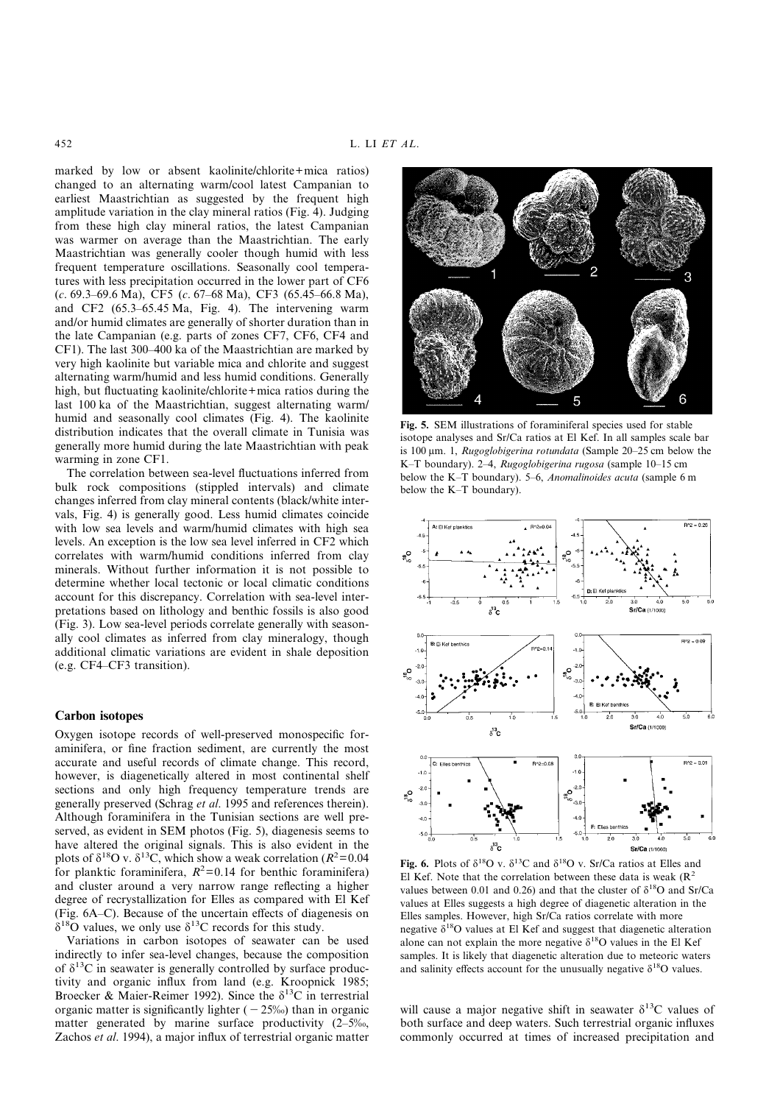marked by low or absent kaolinite/chlorite+mica ratios) changed to an alternating warm/cool latest Campanian to earliest Maastrichtian as suggested by the frequent high amplitude variation in the clay mineral ratios (Fig. 4). Judging from these high clay mineral ratios, the latest Campanian was warmer on average than the Maastrichtian. The early Maastrichtian was generally cooler though humid with less frequent temperature oscillations. Seasonally cool temperatures with less precipitation occurred in the lower part of CF6 (*c*. 69.3–69.6 Ma), CF5 (*c*. 67–68 Ma), CF3 (65.45–66.8 Ma), and CF2 (65.3–65.45 Ma, Fig. 4). The intervening warm and/or humid climates are generally of shorter duration than in the late Campanian (e.g. parts of zones CF7, CF6, CF4 and CF1). The last 300–400 ka of the Maastrichtian are marked by very high kaolinite but variable mica and chlorite and suggest alternating warm/humid and less humid conditions. Generally high, but fluctuating kaolinite/chlorite+mica ratios during the last 100 ka of the Maastrichtian, suggest alternating warm/ humid and seasonally cool climates (Fig. 4). The kaolinite distribution indicates that the overall climate in Tunisia was generally more humid during the late Maastrichtian with peak warming in zone CF1.

The correlation between sea-level fluctuations inferred from bulk rock compositions (stippled intervals) and climate changes inferred from clay mineral contents (black/white intervals, Fig. 4) is generally good. Less humid climates coincide with low sea levels and warm/humid climates with high sea levels. An exception is the low sea level inferred in CF2 which correlates with warm/humid conditions inferred from clay minerals. Without further information it is not possible to determine whether local tectonic or local climatic conditions account for this discrepancy. Correlation with sea-level interpretations based on lithology and benthic fossils is also good (Fig. 3). Low sea-level periods correlate generally with seasonally cool climates as inferred from clay mineralogy, though additional climatic variations are evident in shale deposition (e.g. CF4–CF3 transition).

#### **Carbon isotopes**

Oxygen isotope records of well-preserved monospecific foraminifera, or fine fraction sediment, are currently the most accurate and useful records of climate change. This record, however, is diagenetically altered in most continental shelf sections and only high frequency temperature trends are generally preserved (Schrag *et al*. 1995 and references therein). Although foraminifera in the Tunisian sections are well preserved, as evident in SEM photos (Fig. 5), diagenesis seems to have altered the original signals. This is also evident in the plots of  $\delta^{18}$ O v.  $\delta^{13}$ C, which show a weak correlation ( $R^2$ =0.04 for planktic foraminifera,  $R^2$ =0.14 for benthic foraminifera) and cluster around a very narrow range reflecting a higher degree of recrystallization for Elles as compared with El Kef (Fig. 6A–C). Because of the uncertain effects of diagenesis on  $\delta^{18}$ O values, we only use  $\delta^{13}$ C records for this study.

Variations in carbon isotopes of seawater can be used indirectly to infer sea-level changes, because the composition of  $\delta^{13}$ C in seawater is generally controlled by surface productivity and organic influx from land (e.g. Kroopnick 1985; Broecker & Maier-Reimer 1992). Since the  $\delta^{13}$ C in terrestrial organic matter is significantly lighter  $(-25%)$  than in organic matter generated by marine surface productivity (2–5‰, Zachos *et al*. 1994), a major influx of terrestrial organic matter



**Fig. 5.** SEM illustrations of foraminiferal species used for stable isotope analyses and Sr/Ca ratios at El Kef. In all samples scale bar is 100  $\mu$ m. 1, *Rugoglobigerina rotundata* (Sample 20–25 cm below the K–T boundary). 2–4, *Rugoglobigerina rugosa* (sample 10–15 cm below the K–T boundary). 5–6, *Anomalinoides acuta* (sample 6 m below the K–T boundary).



Fig. 6. Plots of  $\delta^{18}O$  v.  $\delta^{13}C$  and  $\delta^{18}O$  v. Sr/Ca ratios at Elles and El Kef. Note that the correlation between these data is weak  $(R^2)$ values between 0.01 and 0.26) and that the cluster of  $\delta^{18}O$  and Sr/Ca values at Elles suggests a high degree of diagenetic alteration in the Elles samples. However, high Sr/Ca ratios correlate with more negative  $\delta^{18}O$  values at El Kef and suggest that diagenetic alteration alone can not explain the more negative  $\delta^{18}$ O values in the El Kef samples. It is likely that diagenetic alteration due to meteoric waters and salinity effects account for the unusually negative  $\delta^{18}O$  values.

will cause a major negative shift in seawater  $\delta^{13}$ C values of both surface and deep waters. Such terrestrial organic influxes commonly occurred at times of increased precipitation and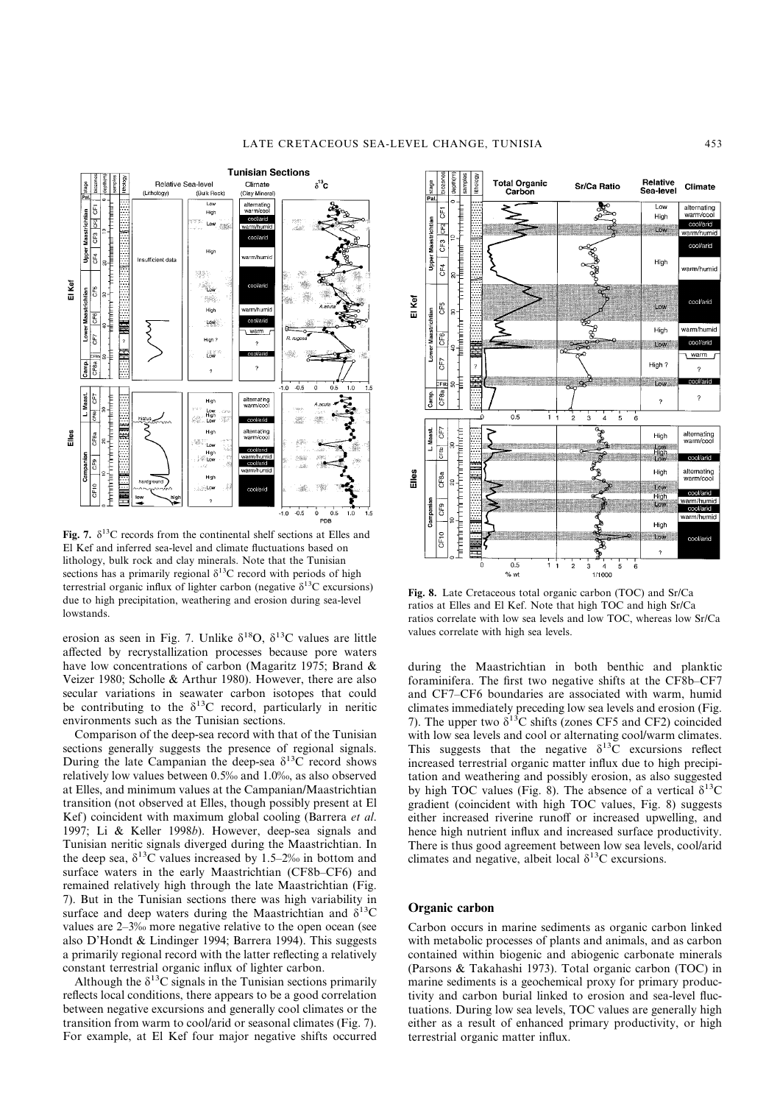

**Fig. 7.**  $\delta^{13}$ C records from the continental shelf sections at Elles and El Kef and inferred sea-level and climate fluctuations based on lithology, bulk rock and clay minerals. Note that the Tunisian sections has a primarily regional  $\delta^{13}$ C record with periods of high terrestrial organic influx of lighter carbon (negative  $\delta^{13}C$  excursions) due to high precipitation, weathering and erosion during sea-level lowstands.

erosion as seen in Fig. 7. Unlike  $\delta^{18}O$ ,  $\delta^{13}C$  values are little affected by recrystallization processes because pore waters have low concentrations of carbon (Magaritz 1975; Brand & Veizer 1980; Scholle & Arthur 1980). However, there are also secular variations in seawater carbon isotopes that could be contributing to the  $\delta^{13}$ C record, particularly in neritic environments such as the Tunisian sections.

Comparison of the deep-sea record with that of the Tunisian sections generally suggests the presence of regional signals. During the late Campanian the deep-sea  $\delta^{13}$ C record shows relatively low values between 0.5‰ and 1.0‰, as also observed at Elles, and minimum values at the Campanian/Maastrichtian transition (not observed at Elles, though possibly present at El Kef) coincident with maximum global cooling (Barrera *et al*. 1997; Li & Keller 1998*b*). However, deep-sea signals and Tunisian neritic signals diverged during the Maastrichtian. In the deep sea,  $\delta^{13}$ C values increased by 1.5–2‰ in bottom and surface waters in the early Maastrichtian (CF8b–CF6) and remained relatively high through the late Maastrichtian (Fig. 7). But in the Tunisian sections there was high variability in surface and deep waters during the Maastrichtian and  $\delta^{13}$ C values are 2–3‰ more negative relative to the open ocean (see also D'Hondt & Lindinger 1994; Barrera 1994). This suggests a primarily regional record with the latter reflecting a relatively constant terrestrial organic influx of lighter carbon.

Although the  $\delta^{13}$ C signals in the Tunisian sections primarily reflects local conditions, there appears to be a good correlation between negative excursions and generally cool climates or the transition from warm to cool/arid or seasonal climates (Fig. 7). For example, at El Kef four major negative shifts occurred



**Fig. 8.** Late Cretaceous total organic carbon (TOC) and Sr/Ca ratios at Elles and El Kef. Note that high TOC and high Sr/Ca ratios correlate with low sea levels and low TOC, whereas low Sr/Ca values correlate with high sea levels.

during the Maastrichtian in both benthic and planktic foraminifera. The first two negative shifts at the CF8b–CF7 and CF7–CF6 boundaries are associated with warm, humid climates immediately preceding low sea levels and erosion (Fig. 7). The upper two  $\delta^{13}$ C shifts (zones CF5 and CF2) coincided with low sea levels and cool or alternating cool/warm climates. This suggests that the negative  $\delta^{13}$ C excursions reflect increased terrestrial organic matter influx due to high precipitation and weathering and possibly erosion, as also suggested by high TOC values (Fig. 8). The absence of a vertical  $\delta^{13}C$ gradient (coincident with high TOC values, Fig. 8) suggests either increased riverine runoff or increased upwelling, and hence high nutrient influx and increased surface productivity. There is thus good agreement between low sea levels, cool/arid climates and negative, albeit local  $\delta^{13}$ C excursions.

## **Organic carbon**

Carbon occurs in marine sediments as organic carbon linked with metabolic processes of plants and animals, and as carbon contained within biogenic and abiogenic carbonate minerals (Parsons & Takahashi 1973). Total organic carbon (TOC) in marine sediments is a geochemical proxy for primary productivity and carbon burial linked to erosion and sea-level fluctuations. During low sea levels, TOC values are generally high either as a result of enhanced primary productivity, or high terrestrial organic matter influx.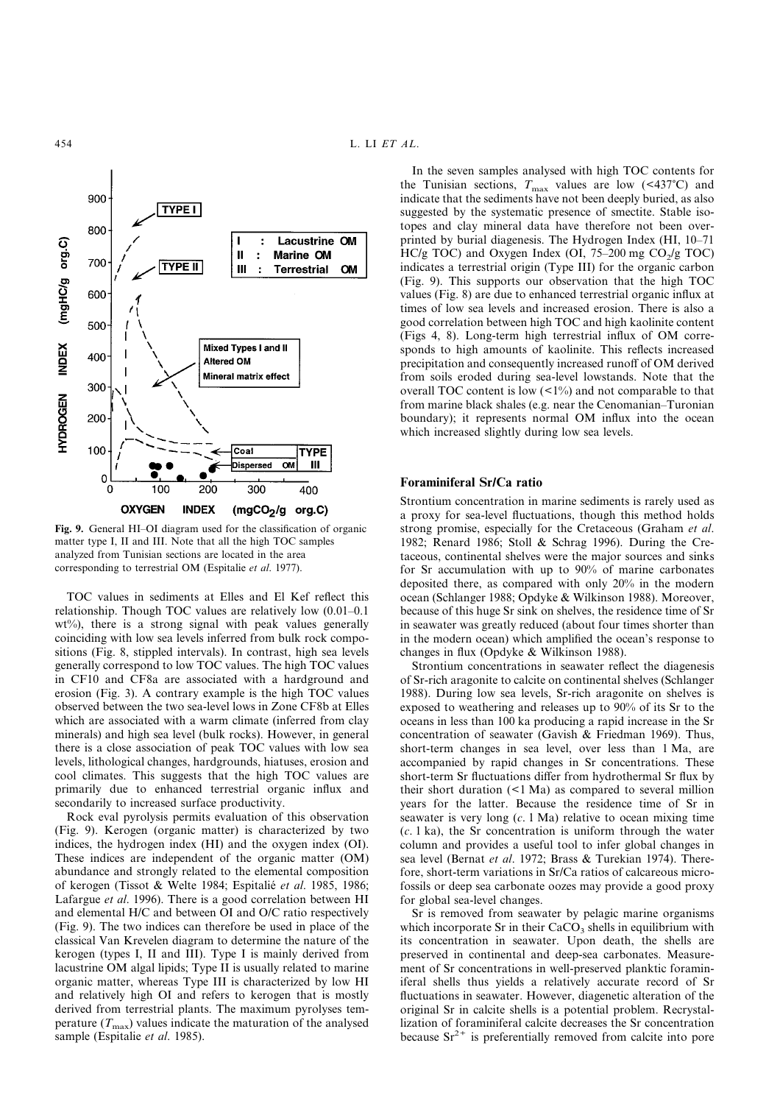

**Fig. 9.** General HI–OI diagram used for the classification of organic matter type I, II and III. Note that all the high TOC samples analyzed from Tunisian sections are located in the area corresponding to terrestrial OM (Espitalie *et al*. 1977).

TOC values in sediments at Elles and El Kef reflect this relationship. Though TOC values are relatively low (0.01–0.1  $wt\%$ ), there is a strong signal with peak values generally coinciding with low sea levels inferred from bulk rock compositions (Fig. 8, stippled intervals). In contrast, high sea levels generally correspond to low TOC values. The high TOC values in CF10 and CF8a are associated with a hardground and erosion (Fig. 3). A contrary example is the high TOC values observed between the two sea-level lows in Zone CF8b at Elles which are associated with a warm climate (inferred from clay minerals) and high sea level (bulk rocks). However, in general there is a close association of peak TOC values with low sea levels, lithological changes, hardgrounds, hiatuses, erosion and cool climates. This suggests that the high TOC values are primarily due to enhanced terrestrial organic influx and secondarily to increased surface productivity.

Rock eval pyrolysis permits evaluation of this observation (Fig. 9). Kerogen (organic matter) is characterized by two indices, the hydrogen index (HI) and the oxygen index (OI). These indices are independent of the organic matter (OM) abundance and strongly related to the elemental composition of kerogen (Tissot & Welte 1984; Espitalie´ *et al*. 1985, 1986; Lafargue *et al*. 1996). There is a good correlation between HI and elemental H/C and between OI and O/C ratio respectively (Fig. 9). The two indices can therefore be used in place of the classical Van Krevelen diagram to determine the nature of the kerogen (types I, II and III). Type I is mainly derived from lacustrine OM algal lipids; Type II is usually related to marine organic matter, whereas Type III is characterized by low HI and relatively high OI and refers to kerogen that is mostly derived from terrestrial plants. The maximum pyrolyses temperature  $(T_{\text{max}})$  values indicate the maturation of the analysed sample (Espitalie *et al*. 1985).

In the seven samples analysed with high TOC contents for the Tunisian sections,  $T_{\text{max}}$  values are low (<437°C) and indicate that the sediments have not been deeply buried, as also suggested by the systematic presence of smectite. Stable isotopes and clay mineral data have therefore not been overprinted by burial diagenesis. The Hydrogen Index (HI, 10–71 HC/g TOC) and Oxygen Index (OI,  $75-200$  mg CO<sub>2</sub>/g TOC) indicates a terrestrial origin (Type III) for the organic carbon (Fig. 9). This supports our observation that the high TOC values (Fig. 8) are due to enhanced terrestrial organic influx at times of low sea levels and increased erosion. There is also a good correlation between high TOC and high kaolinite content (Figs 4, 8). Long-term high terrestrial influx of OM corresponds to high amounts of kaolinite. This reflects increased precipitation and consequently increased runoff of OM derived from soils eroded during sea-level lowstands. Note that the overall TOC content is low  $($ <1%) and not comparable to that from marine black shales (e.g. near the Cenomanian–Turonian boundary); it represents normal OM influx into the ocean which increased slightly during low sea levels.

# **Foraminiferal Sr/Ca ratio**

Strontium concentration in marine sediments is rarely used as a proxy for sea-level fluctuations, though this method holds strong promise, especially for the Cretaceous (Graham *et al*. 1982; Renard 1986; Stoll & Schrag 1996). During the Cretaceous, continental shelves were the major sources and sinks for Sr accumulation with up to 90% of marine carbonates deposited there, as compared with only 20% in the modern ocean (Schlanger 1988; Opdyke & Wilkinson 1988). Moreover, because of this huge Sr sink on shelves, the residence time of Sr in seawater was greatly reduced (about four times shorter than in the modern ocean) which amplified the ocean's response to changes in flux (Opdyke & Wilkinson 1988).

Strontium concentrations in seawater reflect the diagenesis of Sr-rich aragonite to calcite on continental shelves (Schlanger 1988). During low sea levels, Sr-rich aragonite on shelves is exposed to weathering and releases up to 90% of its Sr to the oceans in less than 100 ka producing a rapid increase in the Sr concentration of seawater (Gavish & Friedman 1969). Thus, short-term changes in sea level, over less than 1 Ma, are accompanied by rapid changes in Sr concentrations. These short-term Sr fluctuations differ from hydrothermal Sr flux by their short duration (<1 Ma) as compared to several million years for the latter. Because the residence time of Sr in seawater is very long (*c*. 1 Ma) relative to ocean mixing time (*c*. 1 ka), the Sr concentration is uniform through the water column and provides a useful tool to infer global changes in sea level (Bernat *et al*. 1972; Brass & Turekian 1974). Therefore, short-term variations in Sr/Ca ratios of calcareous microfossils or deep sea carbonate oozes may provide a good proxy for global sea-level changes.

Sr is removed from seawater by pelagic marine organisms which incorporate Sr in their  $CaCO<sub>3</sub>$  shells in equilibrium with its concentration in seawater. Upon death, the shells are preserved in continental and deep-sea carbonates. Measurement of Sr concentrations in well-preserved planktic foraminiferal shells thus yields a relatively accurate record of Sr fluctuations in seawater. However, diagenetic alteration of the original Sr in calcite shells is a potential problem. Recrystallization of foraminiferal calcite decreases the Sr concentration because  $Sr^{2+}$  is preferentially removed from calcite into pore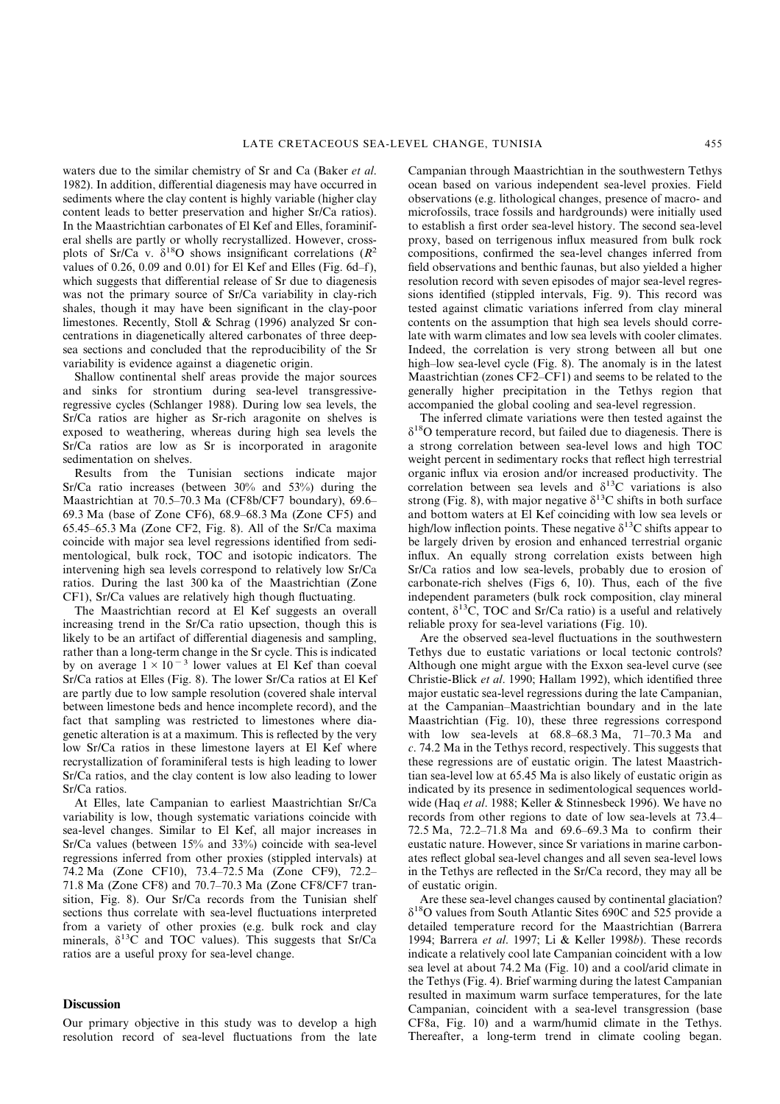waters due to the similar chemistry of Sr and Ca (Baker *et al*. 1982). In addition, differential diagenesis may have occurred in sediments where the clay content is highly variable (higher clay content leads to better preservation and higher Sr/Ca ratios). In the Maastrichtian carbonates of El Kef and Elles, foraminiferal shells are partly or wholly recrystallized. However, crossplots of Sr/Ca v.  $\delta^{18}$ O shows insignificant correlations ( $R^2$ ) values of 0.26, 0.09 and 0.01) for El Kef and Elles (Fig. 6d–f), which suggests that differential release of Sr due to diagenesis was not the primary source of Sr/Ca variability in clay-rich shales, though it may have been significant in the clay-poor limestones. Recently, Stoll & Schrag (1996) analyzed Sr concentrations in diagenetically altered carbonates of three deepsea sections and concluded that the reproducibility of the Sr variability is evidence against a diagenetic origin.

Shallow continental shelf areas provide the major sources and sinks for strontium during sea-level transgressiveregressive cycles (Schlanger 1988). During low sea levels, the Sr/Ca ratios are higher as Sr-rich aragonite on shelves is exposed to weathering, whereas during high sea levels the Sr/Ca ratios are low as Sr is incorporated in aragonite sedimentation on shelves.

Results from the Tunisian sections indicate major Sr/Ca ratio increases (between 30% and 53%) during the Maastrichtian at 70.5–70.3 Ma (CF8b/CF7 boundary), 69.6– 69.3 Ma (base of Zone CF6), 68.9–68.3 Ma (Zone CF5) and 65.45–65.3 Ma (Zone CF2, Fig. 8). All of the Sr/Ca maxima coincide with major sea level regressions identified from sedimentological, bulk rock, TOC and isotopic indicators. The intervening high sea levels correspond to relatively low Sr/Ca ratios. During the last 300 ka of the Maastrichtian (Zone CF1), Sr/Ca values are relatively high though fluctuating.

The Maastrichtian record at El Kef suggests an overall increasing trend in the Sr/Ca ratio upsection, though this is likely to be an artifact of differential diagenesis and sampling, rather than a long-term change in the Sr cycle. This is indicated by on average  $1 \times 10^{-3}$  lower values at El Kef than coeval Sr/Ca ratios at Elles (Fig. 8). The lower Sr/Ca ratios at El Kef are partly due to low sample resolution (covered shale interval between limestone beds and hence incomplete record), and the fact that sampling was restricted to limestones where diagenetic alteration is at a maximum. This is reflected by the very low Sr/Ca ratios in these limestone layers at El Kef where recrystallization of foraminiferal tests is high leading to lower Sr/Ca ratios, and the clay content is low also leading to lower Sr/Ca ratios.

At Elles, late Campanian to earliest Maastrichtian Sr/Ca variability is low, though systematic variations coincide with sea-level changes. Similar to El Kef, all major increases in Sr/Ca values (between 15% and 33%) coincide with sea-level regressions inferred from other proxies (stippled intervals) at 74.2 Ma (Zone CF10), 73.4–72.5 Ma (Zone CF9), 72.2– 71.8 Ma (Zone CF8) and 70.7–70.3 Ma (Zone CF8/CF7 transition, Fig. 8). Our Sr/Ca records from the Tunisian shelf sections thus correlate with sea-level fluctuations interpreted from a variety of other proxies (e.g. bulk rock and clay minerals,  $\delta^{13}$ C and TOC values). This suggests that Sr/Ca ratios are a useful proxy for sea-level change.

## **Discussion**

Our primary objective in this study was to develop a high resolution record of sea-level fluctuations from the late Campanian through Maastrichtian in the southwestern Tethys ocean based on various independent sea-level proxies. Field observations (e.g. lithological changes, presence of macro- and microfossils, trace fossils and hardgrounds) were initially used to establish a first order sea-level history. The second sea-level proxy, based on terrigenous influx measured from bulk rock compositions, confirmed the sea-level changes inferred from field observations and benthic faunas, but also yielded a higher resolution record with seven episodes of major sea-level regressions identified (stippled intervals, Fig. 9). This record was tested against climatic variations inferred from clay mineral contents on the assumption that high sea levels should correlate with warm climates and low sea levels with cooler climates. Indeed, the correlation is very strong between all but one high–low sea-level cycle (Fig. 8). The anomaly is in the latest Maastrichtian (zones CF2–CF1) and seems to be related to the generally higher precipitation in the Tethys region that accompanied the global cooling and sea-level regression.

The inferred climate variations were then tested against the  $\delta^{18}$ O temperature record, but failed due to diagenesis. There is a strong correlation between sea-level lows and high TOC weight percent in sedimentary rocks that reflect high terrestrial organic influx via erosion and/or increased productivity. The correlation between sea levels and  $\delta^{13}$ C variations is also strong (Fig. 8), with major negative  $\delta^{13}$ C shifts in both surface and bottom waters at El Kef coinciding with low sea levels or high/low inflection points. These negative  $\delta^{13}$ C shifts appear to be largely driven by erosion and enhanced terrestrial organic influx. An equally strong correlation exists between high Sr/Ca ratios and low sea-levels, probably due to erosion of carbonate-rich shelves (Figs 6, 10). Thus, each of the five independent parameters (bulk rock composition, clay mineral content,  $\delta^{13}$ C, TOC and Sr/Ca ratio) is a useful and relatively reliable proxy for sea-level variations (Fig. 10).

Are the observed sea-level fluctuations in the southwestern Tethys due to eustatic variations or local tectonic controls? Although one might argue with the Exxon sea-level curve (see Christie-Blick *et al*. 1990; Hallam 1992), which identified three major eustatic sea-level regressions during the late Campanian, at the Campanian–Maastrichtian boundary and in the late Maastrichtian (Fig. 10), these three regressions correspond with low sea-levels at 68.8–68.3 Ma, 71–70.3 Ma and *c*. 74.2 Ma in the Tethys record, respectively. This suggests that these regressions are of eustatic origin. The latest Maastrichtian sea-level low at 65.45 Ma is also likely of eustatic origin as indicated by its presence in sedimentological sequences worldwide (Haq *et al*. 1988; Keller & Stinnesbeck 1996). We have no records from other regions to date of low sea-levels at 73.4– 72.5 Ma, 72.2–71.8 Ma and 69.6–69.3 Ma to confirm their eustatic nature. However, since Sr variations in marine carbonates reflect global sea-level changes and all seven sea-level lows in the Tethys are reflected in the Sr/Ca record, they may all be of eustatic origin.

Are these sea-level changes caused by continental glaciation?  $\delta^{18}$ O values from South Atlantic Sites 690C and 525 provide a detailed temperature record for the Maastrichtian (Barrera 1994; Barrera *et al*. 1997; Li & Keller 1998*b*). These records indicate a relatively cool late Campanian coincident with a low sea level at about 74.2 Ma (Fig. 10) and a cool/arid climate in the Tethys (Fig. 4). Brief warming during the latest Campanian resulted in maximum warm surface temperatures, for the late Campanian, coincident with a sea-level transgression (base CF8a, Fig. 10) and a warm/humid climate in the Tethys. Thereafter, a long-term trend in climate cooling began.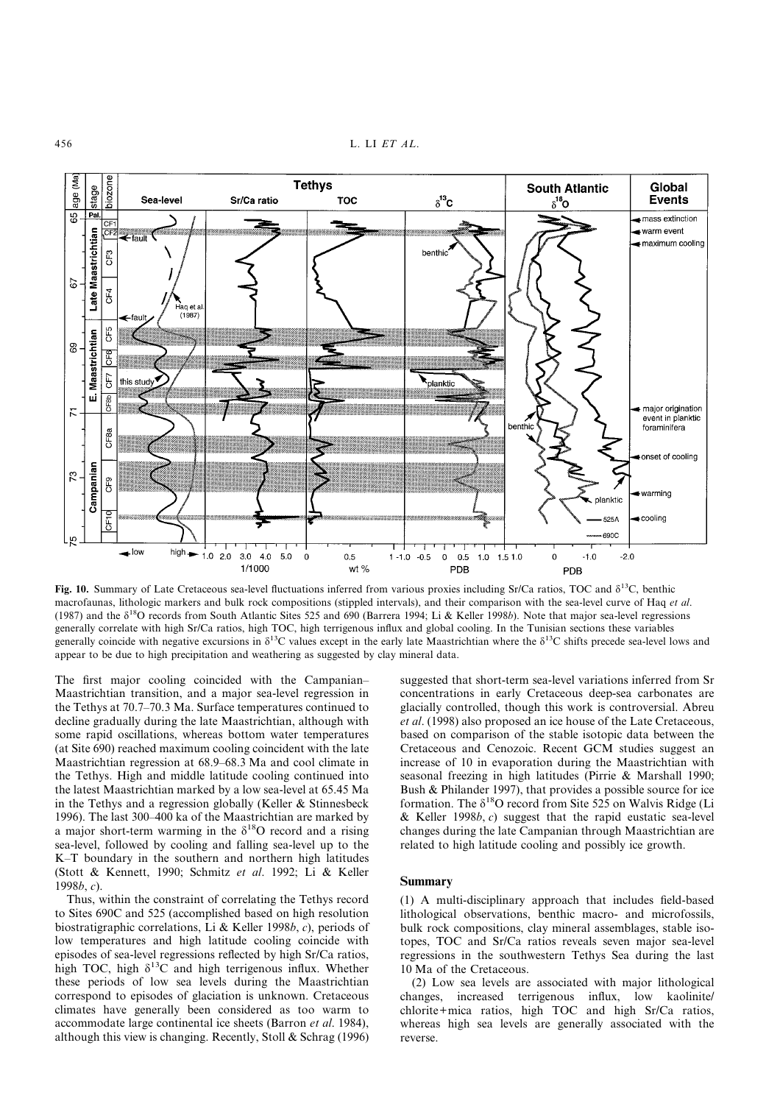456 L. LI *ET AL*.



**Fig. 10.** Summary of Late Cretaceous sea-level fluctuations inferred from various proxies including Sr/Ca ratios, TOC and  $\delta^{13}$ C, benthic macrofaunas, lithologic markers and bulk rock compositions (stippled intervals), and their comparison with the sea-level curve of Haq *et al*. (1987) and the  $\delta^{18}$ O records from South Atlantic Sites 525 and 690 (Barrera 1994; Li & Keller 1998*b*). Note that major sea-level regressions generally correlate with high Sr/Ca ratios, high TOC, high terrigenous influx and global cooling. In the Tunisian sections these variables generally coincide with negative excursions in  $\delta^{13}$ C values except in the early late Maastrichtian where the  $\delta^{13}$ C shifts precede sea-level lows and appear to be due to high precipitation and weathering as suggested by clay mineral data.

The first major cooling coincided with the Campanian– Maastrichtian transition, and a major sea-level regression in the Tethys at 70.7–70.3 Ma. Surface temperatures continued to decline gradually during the late Maastrichtian, although with some rapid oscillations, whereas bottom water temperatures (at Site 690) reached maximum cooling coincident with the late Maastrichtian regression at 68.9–68.3 Ma and cool climate in the Tethys. High and middle latitude cooling continued into the latest Maastrichtian marked by a low sea-level at 65.45 Ma in the Tethys and a regression globally (Keller & Stinnesbeck 1996). The last 300–400 ka of the Maastrichtian are marked by a major short-term warming in the  $\delta^{18}$ O record and a rising sea-level, followed by cooling and falling sea-level up to the K–T boundary in the southern and northern high latitudes (Stott & Kennett, 1990; Schmitz *et al*. 1992; Li & Keller 1998*b*, *c*).

Thus, within the constraint of correlating the Tethys record to Sites 690C and 525 (accomplished based on high resolution biostratigraphic correlations, Li & Keller 1998*b*, *c*), periods of low temperatures and high latitude cooling coincide with episodes of sea-level regressions reflected by high Sr/Ca ratios, high TOC, high  $\delta^{13}$ C and high terrigenous influx. Whether these periods of low sea levels during the Maastrichtian correspond to episodes of glaciation is unknown. Cretaceous climates have generally been considered as too warm to accommodate large continental ice sheets (Barron *et al*. 1984), although this view is changing. Recently, Stoll & Schrag (1996)

suggested that short-term sea-level variations inferred from Sr concentrations in early Cretaceous deep-sea carbonates are glacially controlled, though this work is controversial. Abreu *et al*. (1998) also proposed an ice house of the Late Cretaceous, based on comparison of the stable isotopic data between the Cretaceous and Cenozoic. Recent GCM studies suggest an increase of 10 in evaporation during the Maastrichtian with seasonal freezing in high latitudes (Pirrie & Marshall 1990; Bush & Philander 1997), that provides a possible source for ice formation. The  $\delta^{18}O$  record from Site 525 on Walvis Ridge (Li & Keller 1998*b*, *c*) suggest that the rapid eustatic sea-level changes during the late Campanian through Maastrichtian are related to high latitude cooling and possibly ice growth.

#### **Summary**

(1) A multi-disciplinary approach that includes field-based lithological observations, benthic macro- and microfossils, bulk rock compositions, clay mineral assemblages, stable isotopes, TOC and Sr/Ca ratios reveals seven major sea-level regressions in the southwestern Tethys Sea during the last 10 Ma of the Cretaceous.

(2) Low sea levels are associated with major lithological changes, increased terrigenous influx, low kaolinite/ chlorite+mica ratios, high TOC and high Sr/Ca ratios, whereas high sea levels are generally associated with the reverse.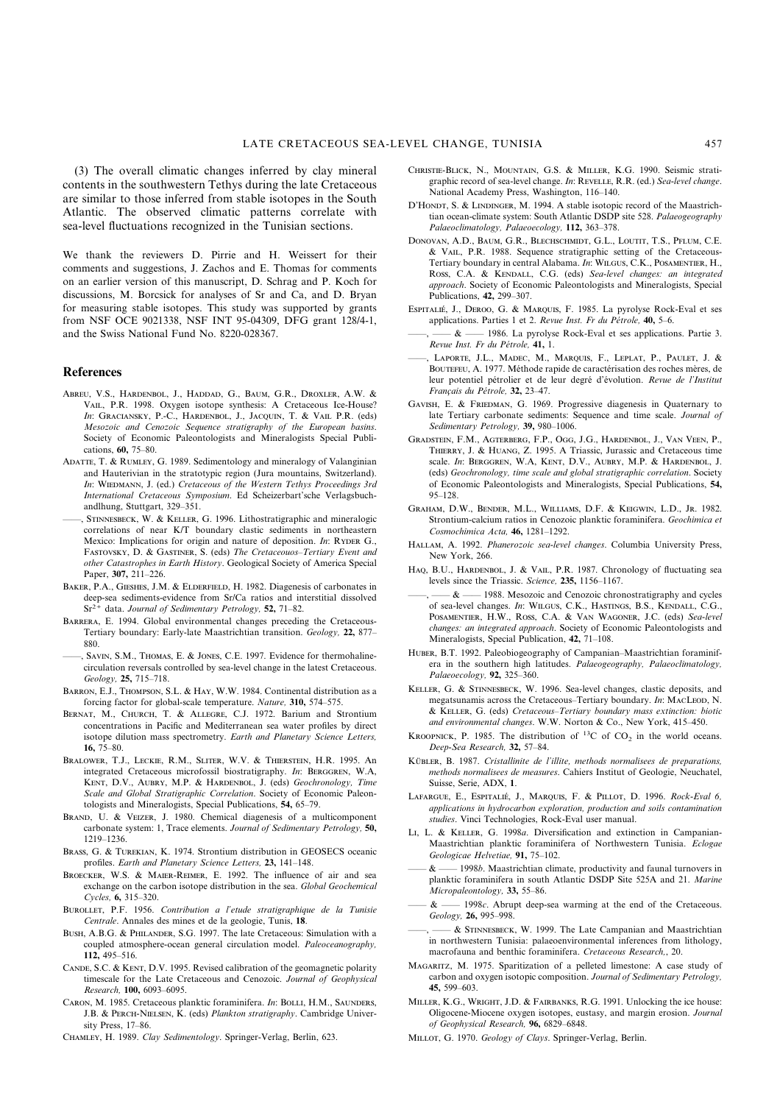(3) The overall climatic changes inferred by clay mineral contents in the southwestern Tethys during the late Cretaceous are similar to those inferred from stable isotopes in the South Atlantic. The observed climatic patterns correlate with sea-level fluctuations recognized in the Tunisian sections.

We thank the reviewers D. Pirrie and H. Weissert for their comments and suggestions, J. Zachos and E. Thomas for comments on an earlier version of this manuscript, D. Schrag and P. Koch for discussions, M. Borcsick for analyses of Sr and Ca, and D. Bryan for measuring stable isotopes. This study was supported by grants from NSF OCE 9021338, NSF INT 95-04309, DFG grant 128/4-1, and the Swiss National Fund No. 8220-028367.

#### **References**

- ABREU, V.S., HARDENBOL, J., HADDAD, G., BAUM, G.R., DROXLER, A.W. & VAIL, P.R. 1998. Oxygen isotope synthesis: A Cretaceous Ice-House? *In*: GRACIANSKY, P.-C., HARDENBOL, J., JACQUIN, T. & VAIL P.R. (eds) *Mesozoic and Cenozoic Sequence stratigraphy of the European basins*. Society of Economic Paleontologists and Mineralogists Special Publications, **60,** 75–80.
- ADATTE, T. & RUMLEY, G. 1989. Sedimentology and mineralogy of Valanginian and Hauterivian in the stratotypic region (Jura mountains, Switzerland). In: WIEDMANN, J. (ed.) *Cretaceous of the Western Tethys Proceedings 3rd International Cretaceous Symposium*. Ed Scheizerbart'sche Verlagsbuchandlhung, Stuttgart, 329–351.
- , STINNESBECK, W. & KELLER, G. 1996. Lithostratigraphic and mineralogic correlations of near K/T boundary clastic sediments in northeastern Mexico: Implications for origin and nature of deposition. *In*: RYDER G., FASTOVSKY, D. & GASTINER, S. (eds) *The Cretaceouos-Tertiary Event and other Catastrophes in Earth History*. Geological Society of America Special Paper, **307,** 211–226.
- BAKER, P.A., GIESHES, J.M. & ELDERFIELD, H. 1982. Diagenesis of carbonates in deep-sea sediments-evidence from Sr/Ca ratios and interstitial dissolved Sr2+ data. *Journal of Sedimentary Petrology,* **52,** 71–82.
- BARRERA, E. 1994. Global environmental changes preceding the Cretaceous-Tertiary boundary: Early-late Maastrichtian transition. *Geology,* **22,** 877– 880.
- SAVIN, S.M., THOMAS, E. & JONES, C.E. 1997. Evidence for thermohalinecirculation reversals controlled by sea-level change in the latest Cretaceous. *Geology,* **25,** 715–718.
- BARRON, E.J., THOMPSON, S.L. & HAY, W.W. 1984. Continental distribution as a forcing factor for global-scale temperature. *Nature,* **310,** 574–575.
- BERNAT, M., CHURCH, T. & ALLEGRE, C.J. 1972. Barium and Strontium concentrations in Pacific and Mediterranean sea water profiles by direct isotope dilution mass spectrometry. *Earth and Planetary Science Letters,* **16,** 75–80.
- BRALOWER, T.J., LECKIE, R.M., SLITER, W.V. & THIERSTEIN, H.R. 1995. An integrated Cretaceous microfossil biostratigraphy. In: BERGGREN, W.A, KENT, D.V., AUBRY, M.P. & HARDENBOL, J. (eds) *Geochronology, Time Scale and Global Stratigraphic Correlation*. Society of Economic Paleontologists and Mineralogists, Special Publications, **54,** 65–79.
- BRAND, U. & VEIZER, J. 1980. Chemical diagenesis of a multicomponent carbonate system: 1, Trace elements. *Journal of Sedimentary Petrology,* **50,** 1219–1236.
- BRASS, G. & TUREKIAN, K. 1974. Strontium distribution in GEOSECS oceanic profiles. *Earth and Planetary Science Letters,* **23,** 141–148.
- BROECKER, W.S. & MAIER-REIMER, E. 1992. The influence of air and sea exchange on the carbon isotope distribution in the sea. *Global Geochemical Cycles,* **6,** 315–320.
- BUROLLET, P.F. 1956. Contribution a l'etude stratigraphique de la Tunisie *Centrale*. Annales des mines et de la geologie, Tunis, **18**.
- BUSH, A.B.G. & PHILANDER, S.G. 1997. The late Cretaceous: Simulation with a coupled atmosphere-ocean general circulation model. *Paleoceanography,* **112,** 495–516.
- CANDE, S.C. & KENT, D.V. 1995. Revised calibration of the geomagnetic polarity timescale for the Late Cretaceous and Cenozoic. *Journal of Geophysical Research,* **100,** 6093–6095.
- CARON, M. 1985. Cretaceous planktic foraminifera. *In*: BOLLI, H.M., SAUNDERS, J.B. & PERCH-NIELSEN, K. (eds) *Plankton stratigraphy*. Cambridge University Press, 17–86.
- CHAMLEY, H. 1989. *Clay Sedimentology*. Springer-Verlag, Berlin, 623.
- CHRISTIE-BLICK, N., MOUNTAIN, G.S. & MILLER, K.G. 1990. Seismic stratigraphic record of sea-level change. *In*: REVELLE, R.R. (ed.) *Sea-level change*. National Academy Press, Washington, 116–140.
- D'HONDT, S. & LINDINGER, M. 1994. A stable isotopic record of the Maastrichtian ocean-climate system: South Atlantic DSDP site 528. *Palaeogeography Palaeoclimatology, Palaeoecology,* **112,** 363–378.
- DONOVAN, A.D., BAUM, G.R., BLECHSCHMIDT, G.L., LOUTIT, T.S., PFLUM, C.E. & VAIL, P.R. 1988. Sequence stratigraphic setting of the Cretaceous-Tertiary boundary in central Alabama. In: WILGUS, C.K., POSAMENTIER, H., Ross, C.A. & KENDALL, C.G. (eds) Sea-level changes: an integrated *approach*. Society of Economic Paleontologists and Mineralogists, Special Publications, **42,** 299–307.
- ESPITALIÉ, J., DEROO, G. & MARQUIS, F. 1985. La pyrolyse Rock-Eval et ses applications. Parties 1 et 2. *Revue Inst. Fr du Pe´trole,* **40,** 5–6.
- & 1986. La pyrolyse Rock-Eval et ses applications. Partie 3. *Revue Inst. Fr du Pe´trole,* **41,** 1.
- , LAPORTE, J.L., MADEC, M., MARQUIS, F., LEPLAT, P., PAULET, J. & BOUTEFEU, A. 1977. Méthode rapide de caractérisation des roches mères, de leur potentiel pétrolier et de leur degré d'évolution. Revue de l'Institut *Franc¸ais du Pe´trole,* **32,** 23–47.
- GAVISH, E. & FRIEDMAN, G. 1969. Progressive diagenesis in Quaternary to late Tertiary carbonate sediments: Sequence and time scale. *Journal of Sedimentary Petrology,* **39,** 980–1006.
- GRADSTEIN F.M. AGTERBERG F.P. OGG LG. HARDENBOL L VAN VEEN P. THIERRY, J. & HUANG, Z. 1995. A Triassic, Jurassic and Cretaceous time scale. *In*: BERGGREN, W.A, KENT, D.V., AUBRY, M.P. & HARDENBOL, J. (eds) *Geochronology, time scale and global stratigraphic correlation*. Society of Economic Paleontologists and Mineralogists, Special Publications, **54,** 95–128.
- GRAHAM, D.W., BENDER, M.L., WILLIAMS, D.F. & KEIGWIN, L.D., JR. 1982. Strontium-calcium ratios in Cenozoic planktic foraminifera. *Geochimica et Cosmochimica Acta,* **46,** 1281–1292.
- HALLAM, A. 1992. *Phanerozoic sea-level changes*. Columbia University Press, New York, 266.
- HAQ, B.U., HARDENBOL, J. & VAIL, P.R. 1987. Chronology of fluctuating sea levels since the Triassic. *Science,* **235,** 1156–1167.
- $-\&$  —— 1988. Mesozoic and Cenozoic chronostratigraphy and cycles of sea-level changes. *In*: WILGUS, C.K., HASTINGS, B.S., KENDALL, C.G., POSAMENTIER, H.W., ROSS, C.A. & VAN WAGONER, J.C. (eds) Sea-level *changes: an integrated approach*. Society of Economic Paleontologists and Mineralogists, Special Publication, **42,** 71–108.
- HUBER, B.T. 1992. Paleobiogeography of Campanian–Maastrichtian foraminifera in the southern high latitudes. *Palaeogeography, Palaeoclimatology, Palaeoecology,* **92,** 325–360.
- KELLER, G. & STINNESBECK, W. 1996. Sea-level changes, clastic deposits, and megatsunamis across the Cretaceous–Tertiary boundary. *In*: MACLEOD, N. & K, G. (eds) *Cretaceous–Tertiary boundary mass extinction: biotic and environmental changes*. W.W. Norton & Co., New York, 415–450.
- KROOPNICK, P. 1985. The distribution of <sup>13</sup>C of CO<sub>2</sub> in the world oceans. *Deep-Sea Research,* **32,** 57–84.
- KÜBLER, B. 1987. *Cristallinite de l'illite, methods normalisees de preparations*, *methods normalisees de measures*. Cahiers Institut of Geologie, Neuchatel, Suisse, Serie, ADX, **1**.
- LAFARGUE, E., ESPITALIÉ, J., MARQUIS, F. & PILLOT, D. 1996. *Rock-Eval 6*, *applications in hydrocarbon exploration, production and soils contamination studies*. Vinci Technologies, Rock-Eval user manual.
- LI, L. & KELLER, G. 1998*a*. Diversification and extinction in Campanian-Maastrichtian planktic foraminifera of Northwestern Tunisia. *Eclogae Geologicae Helvetiae,* **91,** 75–102.
- —— & —— 1998*b*. Maastrichtian climate, productivity and faunal turnovers in planktic foraminifera in south Atlantic DSDP Site 525A and 21. *Marine Micropaleontology,* **33,** 55–86.
- —— & —— 1998*c*. Abrupt deep-sea warming at the end of the Cretaceous. *Geology,* **26,** 995–998.
- $&$  STINNESBECK, W. 1999. The Late Campanian and Maastrichtian in northwestern Tunisia: palaeoenvironmental inferences from lithology, macrofauna and benthic foraminifera. *Cretaceous Research,*, 20.
- MAGARITZ, M. 1975. Sparitization of a pelleted limestone: A case study of carbon and oxygen isotopic composition. *Journal of Sedimentary Petrology,* **45,** 599–603.
- MILLER, K.G., WRIGHT, J.D. & FAIRBANKS, R.G. 1991. Unlocking the ice house: Oligocene-Miocene oxygen isotopes, eustasy, and margin erosion. *Journal of Geophysical Research,* **96,** 6829–6848.
- MILLOT, G. 1970. *Geology of Clays*. Springer-Verlag, Berlin.